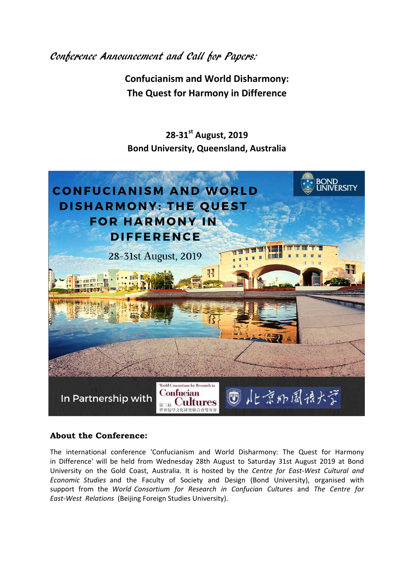Conference Announcement and Call for Papers:

**Confucianism and World Disharmony: The Quest for Harmony in Difference** 

**28-31 st August, 2019 Bond University, Queensland, Australia** 



## **About the Conference:**

The international conference 'Confucianism and World Disharmony: The Quest for Harmony in Difference' will be held from Wednesday 28th August to Saturday 31st August 2019 at Bond University on the Gold Coast, Australia. It is hosted by the *Centre for East-West Cultural and Economic Studies* and the Faculty of Society and Design (Bond University), organised with support from the *World Consortium for Research in Confucian Cultures* and *The Centre for East-West Relations* (Beijing Foreign Studies University).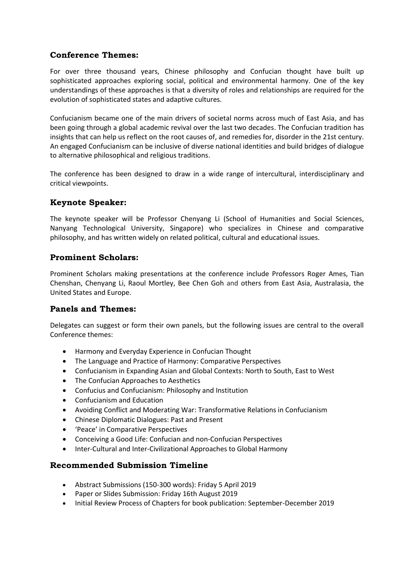# **Conference Themes:**

For over three thousand years, Chinese philosophy and Confucian thought have built up sophisticated approaches exploring social, political and environmental harmony. One of the key understandings of these approaches is that a diversity of roles and relationships are required for the evolution of sophisticated states and adaptive cultures.

Confucianism became one of the main drivers of societal norms across much of East Asia, and has been going through a global academic revival over the last two decades. The Confucian tradition has insights that can help us reflect on the root causes of, and remedies for, disorder in the 21st century. An engaged Confucianism can be inclusive of diverse national identities and build bridges of dialogue to alternative philosophical and religious traditions.

The conference has been designed to draw in a wide range of intercultural, interdisciplinary and critical viewpoints.

## **Keynote Speaker:**

The keynote speaker will be Professor Chenyang Li (School of Humanities and Social Sciences, Nanyang Technological University, Singapore) who specializes in Chinese and comparative philosophy, and has written widely on related political, cultural and educational issues.

## **Prominent Scholars:**

Prominent Scholars making presentations at the conference include Professors Roger Ames, Tian Chenshan, Chenyang Li, Raoul Mortley, Bee Chen Goh and others from East Asia, Australasia, the United States and Europe.

## **Panels and Themes:**

Delegates can suggest or form their own panels, but the following issues are central to the overall Conference themes:

- Harmony and Everyday Experience in Confucian Thought
- The Language and Practice of Harmony: Comparative Perspectives
- Confucianism in Expanding Asian and Global Contexts: North to South, East to West
- The Confucian Approaches to Aesthetics
- Confucius and Confucianism: Philosophy and Institution
- Confucianism and Education
- Avoiding Conflict and Moderating War: Transformative Relations in Confucianism
- Chinese Diplomatic Dialogues: Past and Present
- 'Peace' in Comparative Perspectives
- Conceiving a Good Life: Confucian and non-Confucian Perspectives
- Inter-Cultural and Inter-Civilizational Approaches to Global Harmony

#### **Recommended Submission Timeline**

- Abstract Submissions (150-300 words): Friday 5 April 2019
- Paper or Slides Submission: Friday 16th August 2019
- Initial Review Process of Chapters for book publication: September-December 2019